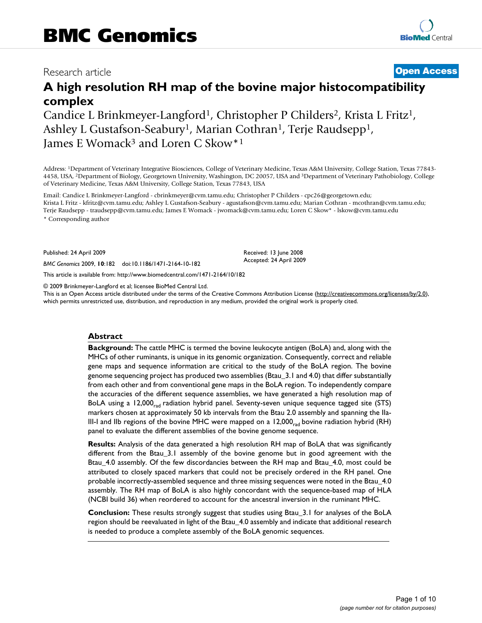# Research article **[Open Access](http://www.biomedcentral.com/info/about/charter/)**

# **A high resolution RH map of the bovine major histocompatibility complex**

Candice L Brinkmeyer-Langford<sup>1</sup>, Christopher P Childers<sup>2</sup>, Krista L Fritz<sup>1</sup>, Ashley L Gustafson-Seabury<sup>1</sup>, Marian Cothran<sup>1</sup>, Terje Raudsepp<sup>1</sup>, James E Womack<sup>3</sup> and Loren C Skow<sup>\*1</sup>

Address: 1Department of Veterinary Integrative Biosciences, College of Veterinary Medicine, Texas A&M University, College Station, Texas 77843- 4458, USA, 2Department of Biology, Georgetown University, Washington, DC 20057, USA and 3Department of Veterinary Pathobiology, College of Veterinary Medicine, Texas A&M University, College Station, Texas 77843, USA

Email: Candice L Brinkmeyer-Langford - cbrinkmeyer@cvm.tamu.edu; Christopher P Childers - cpc26@georgetown.edu; Krista L Fritz - kfritz@cvm.tamu.edu; Ashley L Gustafson-Seabury - agustafson@cvm.tamu.edu; Marian Cothran - mcothran@cvm.tamu.edu; Terje Raudsepp - traudsepp@cvm.tamu.edu; James E Womack - jwomack@cvm.tamu.edu; Loren C Skow\* - lskow@cvm.tamu.edu

\* Corresponding author

Published: 24 April 2009

*BMC Genomics* 2009, **10**:182 doi:10.1186/1471-2164-10-182

[This article is available from: http://www.biomedcentral.com/1471-2164/10/182](http://www.biomedcentral.com/1471-2164/10/182)

© 2009 Brinkmeyer-Langford et al; licensee BioMed Central Ltd.

This is an Open Access article distributed under the terms of the Creative Commons Attribution License [\(http://creativecommons.org/licenses/by/2.0\)](http://creativecommons.org/licenses/by/2.0), which permits unrestricted use, distribution, and reproduction in any medium, provided the original work is properly cited.

Received: 13 June 2008 Accepted: 24 April 2009

#### **Abstract**

**Background:** The cattle MHC is termed the bovine leukocyte antigen (BoLA) and, along with the MHCs of other ruminants, is unique in its genomic organization. Consequently, correct and reliable gene maps and sequence information are critical to the study of the BoLA region. The bovine genome sequencing project has produced two assemblies (Btau\_3.1 and 4.0) that differ substantially from each other and from conventional gene maps in the BoLA region. To independently compare the accuracies of the different sequence assemblies, we have generated a high resolution map of BoLA using a 12,000 $_{rad}$  radiation hybrid panel. Seventy-seven unique sequence tagged site (STS) markers chosen at approximately 50 kb intervals from the Btau 2.0 assembly and spanning the IIa-III-I and IIb regions of the bovine MHC were mapped on a  $12,000<sub>rad</sub>$  bovine radiation hybrid (RH) panel to evaluate the different assemblies of the bovine genome sequence.

**Results:** Analysis of the data generated a high resolution RH map of BoLA that was significantly different from the Btau\_3.1 assembly of the bovine genome but in good agreement with the Btau 4.0 assembly. Of the few discordancies between the RH map and Btau 4.0, most could be attributed to closely spaced markers that could not be precisely ordered in the RH panel. One probable incorrectly-assembled sequence and three missing sequences were noted in the Btau\_4.0 assembly. The RH map of BoLA is also highly concordant with the sequence-based map of HLA (NCBI build 36) when reordered to account for the ancestral inversion in the ruminant MHC.

**Conclusion:** These results strongly suggest that studies using Btau\_3.1 for analyses of the BoLA region should be reevaluated in light of the Btau\_4.0 assembly and indicate that additional research is needed to produce a complete assembly of the BoLA genomic sequences.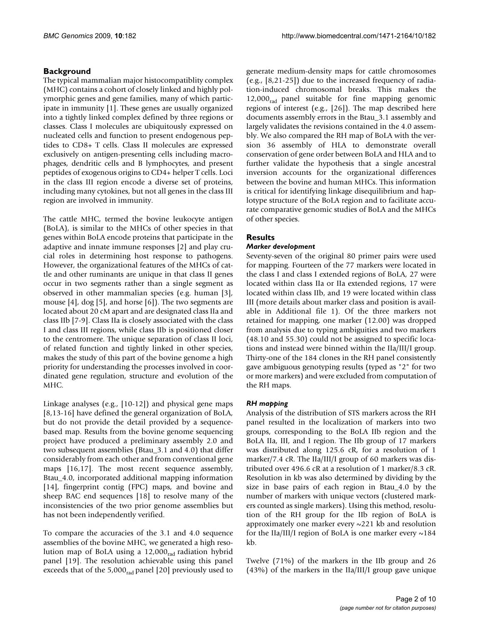# **Background**

The typical mammalian major histocompatiblity complex (MHC) contains a cohort of closely linked and highly polymorphic genes and gene families, many of which participate in immunity [1]. These genes are usually organized into a tightly linked complex defined by three regions or classes. Class I molecules are ubiquitously expressed on nucleated cells and function to present endogenous peptides to CD8+ T cells. Class II molecules are expressed exclusively on antigen-presenting cells including macrophages, dendritic cells and B lymphocytes, and present peptides of exogenous origins to CD4+ helper T cells. Loci in the class III region encode a diverse set of proteins, including many cytokines, but not all genes in the class III region are involved in immunity.

The cattle MHC, termed the bovine leukocyte antigen (BoLA), is similar to the MHCs of other species in that genes within BoLA encode proteins that participate in the adaptive and innate immune responses [2] and play crucial roles in determining host response to pathogens. However, the organizational features of the MHCs of cattle and other ruminants are unique in that class II genes occur in two segments rather than a single segment as observed in other mammalian species (e.g. human [3], mouse [4], dog [5], and horse [6]). The two segments are located about 20 cM apart and are designated class IIa and class IIb [7-9]. Class IIa is closely associated with the class I and class III regions, while class IIb is positioned closer to the centromere. The unique separation of class II loci, of related function and tightly linked in other species, makes the study of this part of the bovine genome a high priority for understanding the processes involved in coordinated gene regulation, structure and evolution of the MHC.

Linkage analyses (e.g., [10-12]) and physical gene maps [8,13-16] have defined the general organization of BoLA, but do not provide the detail provided by a sequencebased map. Results from the bovine genome sequencing project have produced a preliminary assembly 2.0 and two subsequent assemblies (Btau\_3.1 and 4.0) that differ considerably from each other and from conventional gene maps [16,17]. The most recent sequence assembly, Btau\_4.0, incorporated additional mapping information [14], fingerprint contig (FPC) maps, and bovine and sheep BAC end sequences [18] to resolve many of the inconsistencies of the two prior genome assemblies but has not been independently verified.

To compare the accuracies of the 3.1 and 4.0 sequence assemblies of the bovine MHC, we generated a high resolution map of BoLA using a 12,000<sub>rad</sub> radiation hybrid panel [19]. The resolution achievable using this panel exceeds that of the  $5,000<sub>rad</sub>$  panel [20] previously used to

generate medium-density maps for cattle chromosomes (e.g., [8,21-25]) due to the increased frequency of radiation-induced chromosomal breaks. This makes the  $12,000<sub>rad</sub>$  panel suitable for fine mapping genomic regions of interest (e.g., [26]). The map described here documents assembly errors in the Btau\_3.1 assembly and largely validates the revisions contained in the 4.0 assembly. We also compared the RH map of BoLA with the version 36 assembly of HLA to demonstrate overall conservation of gene order between BoLA and HLA and to further validate the hypothesis that a single ancestral inversion accounts for the organizational differences between the bovine and human MHCs. This information is critical for identifying linkage disequilibrium and haplotype structure of the BoLA region and to facilitate accurate comparative genomic studies of BoLA and the MHCs of other species.

# **Results**

### *Marker development*

Seventy-seven of the original 80 primer pairs were used for mapping. Fourteen of the 77 markers were located in the class I and class I extended regions of BoLA, 27 were located within class IIa or IIa extended regions, 17 were located within class IIb, and 19 were located within class III (more details about marker class and position is available in Additional file 1). Of the three markers not retained for mapping, one marker (12.00) was dropped from analysis due to typing ambiguities and two markers (48.10 and 55.30) could not be assigned to specific locations and instead were binned within the IIa/III/I group. Thirty-one of the 184 clones in the RH panel consistently gave ambiguous genotyping results (typed as "2" for two or more markers) and were excluded from computation of the RH maps.

### *RH mapping*

Analysis of the distribution of STS markers across the RH panel resulted in the localization of markers into two groups, corresponding to the BoLA IIb region and the BoLA IIa, III, and I region. The IIb group of 17 markers was distributed along 125.6 cR, for a resolution of 1 marker/7.4 cR. The IIa/III/I group of 60 markers was distributed over 496.6 cR at a resolution of 1 marker/8.3 cR. Resolution in kb was also determined by dividing by the size in base pairs of each region in Btau\_4.0 by the number of markers with unique vectors (clustered markers counted as single markers). Using this method, resolution of the RH group for the IIb region of BoLA is approximately one marker every ~221 kb and resolution for the IIa/III/I region of BoLA is one marker every ~184 kb.

Twelve (71%) of the markers in the IIb group and 26 (43%) of the markers in the IIa/III/I group gave unique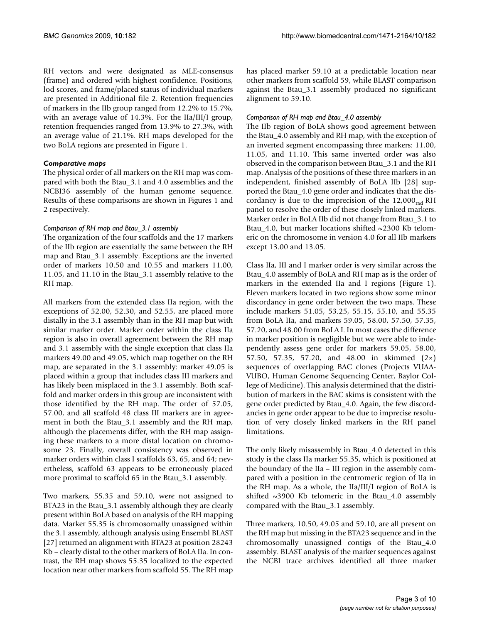RH vectors and were designated as MLE-consensus (frame) and ordered with highest confidence. Positions, lod scores, and frame/placed status of individual markers are presented in Additional file 2. Retention frequencies of markers in the IIb group ranged from 12.2% to 15.7%, with an average value of 14.3%. For the IIa/III/I group, retention frequencies ranged from 13.9% to 27.3%, with an average value of 21.1%. RH maps developed for the two BoLA regions are presented in Figure 1.

#### *Comparative maps*

The physical order of all markers on the RH map was compared with both the Btau\_3.1 and 4.0 assemblies and the NCBI36 assembly of the human genome sequence. Results of these comparisons are shown in Figures 1 and 2 respectively.

### *Comparison of RH map and Btau\_3.1 assembly*

The organization of the four scaffolds and the 17 markers of the IIb region are essentially the same between the RH map and Btau\_3.1 assembly. Exceptions are the inverted order of markers 10.50 and 10.55 and markers 11.00, 11.05, and 11.10 in the Btau\_3.1 assembly relative to the RH map.

All markers from the extended class IIa region, with the exceptions of 52.00, 52.30, and 52.55, are placed more distally in the 3.1 assembly than in the RH map but with similar marker order. Marker order within the class IIa region is also in overall agreement between the RH map and 3.1 assembly with the single exception that class IIa markers 49.00 and 49.05, which map together on the RH map, are separated in the 3.1 assembly: marker 49.05 is placed within a group that includes class III markers and has likely been misplaced in the 3.1 assembly. Both scaffold and marker orders in this group are inconsistent with those identified by the RH map. The order of 57.05, 57.00, and all scaffold 48 class III markers are in agreement in both the Btau\_3.1 assembly and the RH map, although the placements differ, with the RH map assigning these markers to a more distal location on chromosome 23. Finally, overall consistency was observed in marker orders within class I scaffolds 63, 65, and 64; nevertheless, scaffold 63 appears to be erroneously placed more proximal to scaffold 65 in the Btau\_3.1 assembly.

Two markers, 55.35 and 59.10, were not assigned to BTA23 in the Btau\_3.1 assembly although they are clearly present within BoLA based on analysis of the RH mapping data. Marker 55.35 is chromosomally unassigned within the 3.1 assembly, although analysis using Ensembl BLAST [27] returned an alignment with BTA23 at position 28243 Kb – clearly distal to the other markers of BoLA IIa. In contrast, the RH map shows 55.35 localized to the expected location near other markers from scaffold 55. The RH map

has placed marker 59.10 at a predictable location near other markers from scaffold 59, while BLAST comparison against the Btau\_3.1 assembly produced no significant alignment to 59.10.

#### *Comparison of RH map and Btau\_4.0 assembly*

The IIb region of BoLA shows good agreement between the Btau\_4.0 assembly and RH map, with the exception of an inverted segment encompassing three markers: 11.00, 11.05, and 11.10. This same inverted order was also observed in the comparison between Btau\_3.1 and the RH map. Analysis of the positions of these three markers in an independent, finished assembly of BoLA IIb [28] supported the Btau\_4.0 gene order and indicates that the discordancy is due to the imprecision of the  $12,000<sub>rad</sub>$  RH panel to resolve the order of these closely linked markers. Marker order in BoLA IIb did not change from Btau\_3.1 to Btau 4.0, but marker locations shifted  $\sim$ 2300 Kb telomeric on the chromosome in version 4.0 for all IIb markers except 13.00 and 13.05.

Class IIa, III and I marker order is very similar across the Btau\_4.0 assembly of BoLA and RH map as is the order of markers in the extended IIa and I regions (Figure 1). Eleven markers located in two regions show some minor discordancy in gene order between the two maps. These include markers 51.05, 53.25, 55.15, 55.10, and 55.35 from BoLA IIa, and markers 59.05, 58.00, 57.50, 57.35, 57.20, and 48.00 from BoLA I. In most cases the difference in marker position is negligible but we were able to independently assess gene order for markers 59.05, 58.00, 57.50, 57.35, 57.20, and 48.00 in skimmed (2×) sequences of overlapping BAC clones (Projects VUAA-VUBO, Human Genome Sequencing Center, Baylor College of Medicine). This analysis determined that the distribution of markers in the BAC skims is consistent with the gene order predicted by Btau\_4.0. Again, the few discordancies in gene order appear to be due to imprecise resolution of very closely linked markers in the RH panel limitations.

The only likely misassembly in Btau\_4.0 detected in this study is the class IIa marker 55.35, which is positioned at the boundary of the IIa – III region in the assembly compared with a position in the centromeric region of IIa in the RH map. As a whole, the IIa/III/I region of BoLA is shifted ~3900 Kb telomeric in the Btau\_4.0 assembly compared with the Btau\_3.1 assembly.

Three markers, 10.50, 49.05 and 59.10, are all present on the RH map but missing in the BTA23 sequence and in the chromosomally unassigned contigs of the Btau\_4.0 assembly. BLAST analysis of the marker sequences against the NCBI trace archives identified all three marker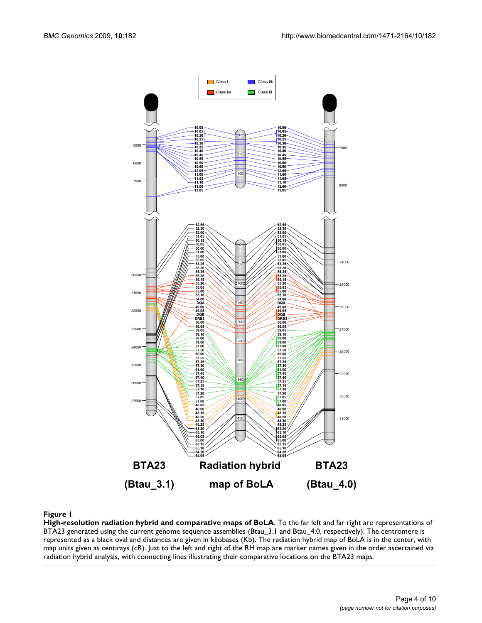

#### Figure 1

**High-resolution radiation hybrid and comparative maps of BoLA**. To the far left and far right are representations of BTA23 generated using the current genome sequence assemblies (Btau\_3.1 and Btau\_4.0, respectively). The centromere is represented as a black oval and distances are given in kilobases (Kb). The radiation hybrid map of BoLA is in the center, with map units given as centirays (cR). Just to the left and right of the RH map are marker names given in the order ascertained via radiation hybrid analysis, with connecting lines illustrating their comparative locations on the BTA23 maps.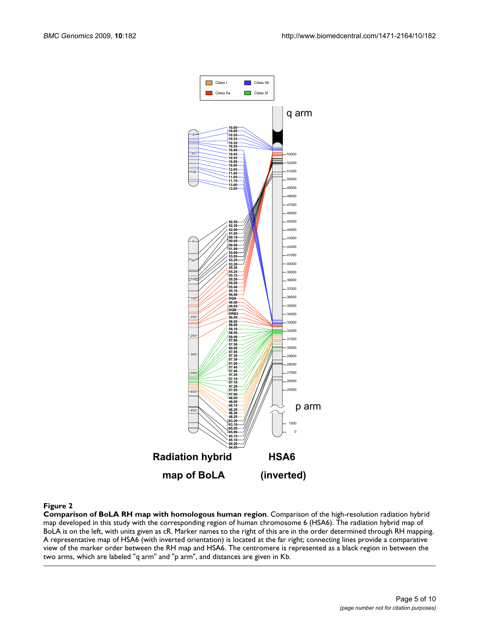

#### Figure 2

**Comparison of BoLA RH map with homologous human region**. Comparison of the high-resolution radiation hybrid map developed in this study with the corresponding region of human chromosome 6 (HSA6). The radiation hybrid map of BoLA is on the left, with units given as cR. Marker names to the right of this are in the order determined through RH mapping. A representative map of HSA6 (with inverted orientation) is located at the far right; connecting lines provide a comparative view of the marker order between the RH map and HSA6. The centromere is represented as a black region in between the two arms, which are labeled "q arm" and "p arm", and distances are given in Kb.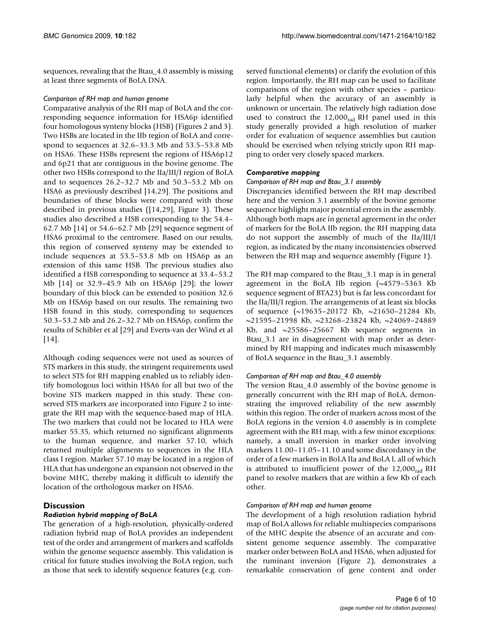sequences, revealing that the Btau\_4.0 assembly is missing at least three segments of BoLA DNA.

#### *Comparison of RH map and human genome*

Comparative analysis of the RH map of BoLA and the corresponding sequence information for HSA6p identified four homologous synteny blocks (HSB) (Figures 2 and 3). Two HSBs are located in the IIb region of BoLA and correspond to sequences at 32.6–33.3 Mb and 53.5–53.8 Mb on HSA6. These HSBs represent the regions of HSA6p12 and 6p21 that are contiguous in the bovine genome. The other two HSBs correspond to the IIa/III/I region of BoLA and to sequences 26.2–32.7 Mb and 50.3–53.2 Mb on HSA6 as previously described [14,29]. The positions and boundaries of these blocks were compared with those described in previous studies ([14,29], Figure 3). These studies also described a HSB corresponding to the 54.4– 62.7 Mb [14] or 54.6–62.7 Mb [29] sequence segment of HSA6 proximal to the centromere. Based on our results, this region of conserved synteny may be extended to include sequences at 53.5–53.8 Mb on HSA6p as an extension of this same HSB. The previous studies also identified a HSB corresponding to sequence at 33.4–53.2 Mb [14] or 32.9–45.9 Mb on HSA6p [29]; the lower boundary of this block can be extended to position 32.6 Mb on HSA6p based on our results. The remaining two HSB found in this study, corresponding to sequences 50.3–53.2 Mb and 26.2–32.7 Mb on HSA6p, confirm the results of Schibler et al [29] and Everts-van der Wind et al  $[14]$ .

Although coding sequences were not used as sources of STS markers in this study, the stringent requirements used to select STS for RH mapping enabled us to reliably identify homologous loci within HSA6 for all but two of the bovine STS markers mapped in this study. These conserved STS markers are incorporated into Figure 2 to integrate the RH map with the sequence-based map of HLA. The two markers that could not be located to HLA were marker 55.35, which returned no significant alignments to the human sequence, and marker 57.10, which returned multiple alignments to sequences in the HLA class I region. Marker 57.10 may be located in a region of HLA that has undergone an expansion not observed in the bovine MHC, thereby making it difficult to identify the location of the orthologous marker on HSA6.

# **Discussion**

### *Radiation hybrid mapping of BoLA*

The generation of a high-resolution, physically-ordered radiation hybrid map of BoLA provides an independent test of the order and arrangement of markers and scaffolds within the genome sequence assembly. This validation is critical for future studies involving the BoLA region, such as those that seek to identify sequence features (e.g. conserved functional elements) or clarify the evolution of this region. Importantly, the RH map can be used to facilitate comparisons of the region with other species – particularly helpful when the accuracy of an assembly is unknown or uncertain. The relatively high radiation dose used to construct the  $12,000<sub>rad</sub>$  RH panel used in this study generally provided a high resolution of marker order for evaluation of sequence assemblies but caution should be exercised when relying strictly upon RH mapping to order very closely spaced markers.

### *Comparative mapping*

#### *Comparison of RH map and Btau\_3.1 assembly*

Discrepancies identified between the RH map described here and the version 3.1 assembly of the bovine genome sequence highlight major potential errors in the assembly. Although both maps are in general agreement in the order of markers for the BoLA IIb region, the RH mapping data do not support the assembly of much of the IIa/III/I region, as indicated by the many inconsistencies observed between the RH map and sequence assembly (Figure 1).

The RH map compared to the Btau\_3.1 map is in general agreement in the BoLA IIb region (~4579–5363 Kb sequence segment of BTA23) but is far less concordant for the IIa/III/I region. The arrangements of at least six blocks of sequence (~19635–20172 Kb, ~21650–21284 Kb, ~21595–21998 Kb, ~23268–23824 Kb, ~24069–24889 Kb, and ~25586–25667 Kb sequence segments in Btau\_3.1 are in disagreement with map order as determined by RH mapping and indicates much misassembly of BoLA sequence in the Btau\_3.1 assembly.

### *Comparison of RH map and Btau\_4.0 assembly*

The version Btau\_4.0 assembly of the bovine genome is generally concurrent with the RH map of BoLA, demonstrating the improved reliability of the new assembly within this region. The order of markers across most of the BoLA regions in the version 4.0 assembly is in complete agreement with the RH map, with a few minor exceptions: namely, a small inversion in marker order involving markers 11.00–11.05–11.10 and some discordancy in the order of a few markers in BoLA IIa and BoLA I, all of which is attributed to insufficient power of the  $12,000<sub>rad</sub>$  RH panel to resolve markers that are within a few Kb of each other.

### *Comparison of RH map and human genome*

The development of a high resolution radiation hybrid map of BoLA allows for reliable multispecies comparisons of the MHC despite the absence of an accurate and consistent genome sequence assembly. The comparative marker order between BoLA and HSA6, when adjusted for the ruminant inversion (Figure 2), demonstrates a remarkable conservation of gene content and order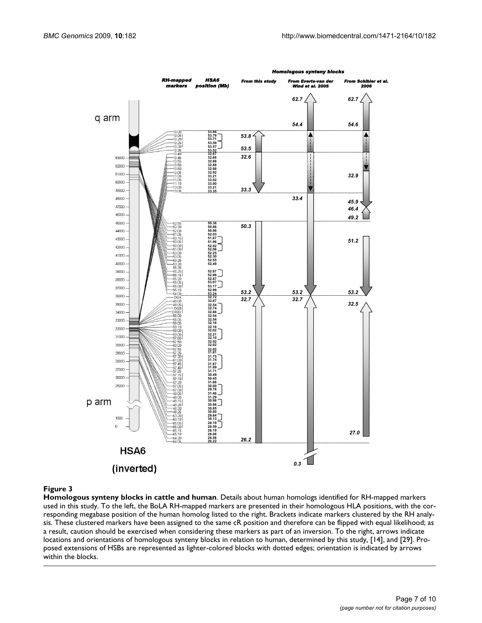

### Figure 3

**Homologous synteny blocks in cattle and human**. Details about human homologs identified for RH-mapped markers used in this study. To the left, the BoLA RH-mapped markers are presented in their homologous HLA positions, with the corresponding megabase position of the human homolog listed to the right. Brackets indicate markers clustered by the RH analysis. These clustered markers have been assigned to the same cR position and therefore can be flipped with equal likelihood; as a result, caution should be exercised when considering these markers as part of an inversion. To the right, arrows indicate locations and orientations of homologous synteny blocks in relation to human, determined by this study, [14], and [29]. Proposed extensions of HSBs are represented as lighter-colored blocks with dotted edges; orientation is indicated by arrows within the blocks.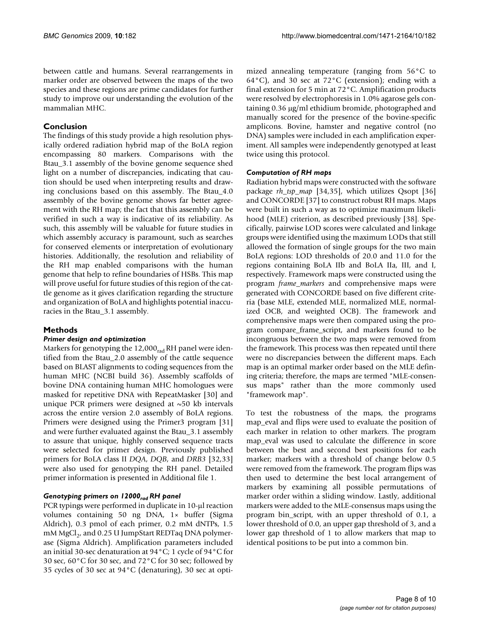between cattle and humans. Several rearrangements in marker order are observed between the maps of the two species and these regions are prime candidates for further study to improve our understanding the evolution of the mammalian MHC.

# **Conclusion**

The findings of this study provide a high resolution physically ordered radiation hybrid map of the BoLA region encompassing 80 markers. Comparisons with the Btau\_3.1 assembly of the bovine genome sequence shed light on a number of discrepancies, indicating that caution should be used when interpreting results and drawing conclusions based on this assembly. The Btau\_4.0 assembly of the bovine genome shows far better agreement with the RH map; the fact that this assembly can be verified in such a way is indicative of its reliability. As such, this assembly will be valuable for future studies in which assembly accuracy is paramount, such as searches for conserved elements or interpretation of evolutionary histories. Additionally, the resolution and reliability of the RH map enabled comparisons with the human genome that help to refine boundaries of HSBs. This map will prove useful for future studies of this region of the cattle genome as it gives clarification regarding the structure and organization of BoLA and highlights potential inaccuracies in the Btau\_3.1 assembly.

# **Methods**

### *Primer design and optimization*

Markers for genotyping the  $12,000<sub>rad</sub>$  RH panel were identified from the Btau\_2.0 assembly of the cattle sequence based on BLAST alignments to coding sequences from the human MHC (NCBI build 36). Assembly scaffolds of bovine DNA containing human MHC homologues were masked for repetitive DNA with RepeatMasker [30] and unique PCR primers were designed at  $\sim$  50 kb intervals across the entire version 2.0 assembly of BoLA regions. Primers were designed using the Primer3 program [31] and were further evaluated against the Btau\_3.1 assembly to assure that unique, highly conserved sequence tracts were selected for primer design. Previously published primers for BoLA class II *DQA*, *DQB*, and *DRB3* [32,33] were also used for genotyping the RH panel. Detailed primer information is presented in Additional file 1.

### Genotyping primers on 12000<sub>rad</sub> RH panel

PCR typings were performed in duplicate in 10-μl reaction volumes containing 50 ng DNA, 1× buffer (Sigma Aldrich), 0.3 pmol of each primer, 0.2 mM dNTPs, 1.5 mM MgCl<sub>2</sub>, and 0.25 U JumpStart REDTaq DNA polymerase (Sigma Aldrich). Amplification parameters included an initial 30-sec denaturation at 94°C; 1 cycle of 94°C for 30 sec, 60°C for 30 sec, and 72°C for 30 sec; followed by 35 cycles of 30 sec at 94°C (denaturing), 30 sec at optimized annealing temperature (ranging from 56°C to 64°C), and 30 sec at 72°C (extension); ending with a final extension for 5 min at 72°C. Amplification products were resolved by electrophoresis in 1.0% agarose gels containing 0.36 μg/ml ethidium bromide, photographed and manually scored for the presence of the bovine-specific amplicons. Bovine, hamster and negative control (no DNA) samples were included in each amplification experiment. All samples were independently genotyped at least twice using this protocol.

#### *Computation of RH maps*

Radiation hybrid maps were constructed with the software package *rh\_tsp\_map* [34,35], which utilizes Qsopt [36] and CONCORDE [37] to construct robust RH maps. Maps were built in such a way as to optimize maximum likelihood (MLE) criterion, as described previously [38]. Specifically, pairwise LOD scores were calculated and linkage groups were identified using the maximum LODs that still allowed the formation of single groups for the two main BoLA regions: LOD thresholds of 20.0 and 11.0 for the regions containing BoLA IIb and BoLA IIa, III, and I, respectively. Framework maps were constructed using the program *frame\_markers* and comprehensive maps were generated with CONCORDE based on five different criteria (base MLE, extended MLE, normalized MLE, normalized OCB, and weighted OCB). The framework and comprehensive maps were then compared using the program compare\_frame\_script, and markers found to be incongruous between the two maps were removed from the framework. This process was then repeated until there were no discrepancies between the different maps. Each map is an optimal marker order based on the MLE defining criteria; therefore, the maps are termed "MLE-consensus maps" rather than the more commonly used "framework map".

To test the robustness of the maps, the programs map\_eval and flips were used to evaluate the position of each marker in relation to other markers. The program map\_eval was used to calculate the difference in score between the best and second best positions for each marker; markers with a threshold of change below 0.5 were removed from the framework. The program flips was then used to determine the best local arrangement of markers by examining all possible permutations of marker order within a sliding window. Lastly, additional markers were added to the MLE-consensus maps using the program bin\_script, with an upper threshold of 0.1, a lower threshold of 0.0, an upper gap threshold of 3, and a lower gap threshold of 1 to allow markers that map to identical positions to be put into a common bin.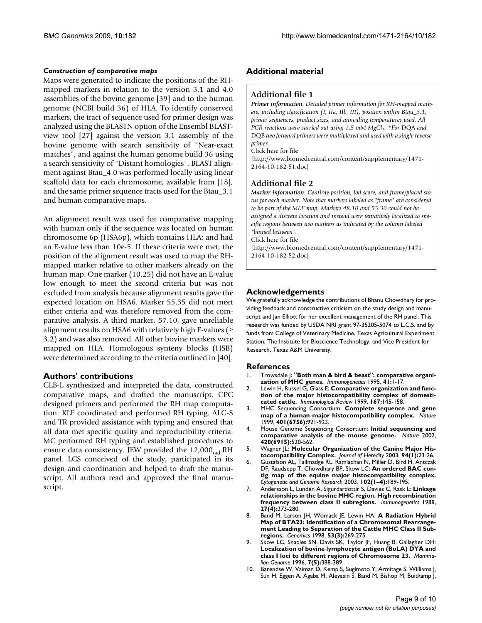#### *Construction of comparative maps*

Maps were generated to indicate the positions of the RHmapped markers in relation to the version 3.1 and 4.0 assemblies of the bovine genome [39] and to the human genome (NCBI build 36) of HLA. To identify conserved markers, the tract of sequence used for primer design was analyzed using the BLASTN option of the Ensembl BLASTview tool [27] against the version 3.1 assembly of the bovine genome with search sensitivity of "Near-exact matches", and against the human genome build 36 using a search sensitivity of "Distant homologies". BLAST alignment against Btau\_4.0 was performed locally using linear scaffold data for each chromosome, available from [18], and the same primer sequence tracts used for the Btau\_3.1 and human comparative maps.

An alignment result was used for comparative mapping with human only if the sequence was located on human chromosome 6p (HSA6p), which contains HLA; and had an E-value less than 10e-5. If these criteria were met, the position of the alignment result was used to map the RHmapped marker relative to other markers already on the human map. One marker (10.25) did not have an E-value low enough to meet the second criteria but was not excluded from analysis because alignment results gave the expected location on HSA6. Marker 55.35 did not meet either criteria and was therefore removed from the comparative analysis. A third marker, 57.10, gave unreliable alignment results on HSA6 with relatively high E-values ( $\geq$ 3.2) and was also removed. All other bovine markers were mapped on HLA. Homologous synteny blocks (HSB) were determined according to the criteria outlined in [40].

#### **Authors' contributions**

CLB-L synthesized and interpreted the data, constructed comparative maps, and drafted the manuscript. CPC designed primers and performed the RH map computation. KLF coordinated and performed RH typing. ALG-S and TR provided assistance with typing and ensured that all data met specific quality and reproducibility criteria. MC performed RH typing and established procedures to ensure data consistency. JEW provided the  $12,000<sub>rad</sub>$  RH panel. LCS conceived of the study, participated in its design and coordination and helped to draft the manuscript. All authors read and approved the final manuscript.

#### **Additional material**

#### **Additional file 1**

*Primer information. Detailed primer information for RH-mapped markers, including classification (I, IIa, IIb, III), position within Btau\_3.1, primer sequences, product sizes, and annealing temperatures used. All PCR reactions were carried out using 1.5 mM MgCl<sub>2</sub>. \*For DQA and* DQB *two forward primers were multiplexed and used with a single reverse primer.*

Click here for file

[\[http://www.biomedcentral.com/content/supplementary/1471-](http://www.biomedcentral.com/content/supplementary/1471-2164-10-182-S1.doc) 2164-10-182-S1.doc]

#### **Additional file 2**

*Marker information. Centiray position, lod score, and frame/placed status for each marker. Note that markers labeled as "frame" are considered to be part of the MLE map. Markers 48.10 and 55.30 could not be assigned a discrete location and instead were tentatively localized to specific regions between two markers as indicated by the column labeled "binned between".*

Click here for file

[\[http://www.biomedcentral.com/content/supplementary/1471-](http://www.biomedcentral.com/content/supplementary/1471-2164-10-182-S2.doc) 2164-10-182-S2.doc]

#### **Acknowledgements**

We gratefully acknowledge the contributions of Bhanu Chowdhary for providing feedback and constructive criticism on the study design and manuscript and Jan Elliott for her excellent management of the RH panel. This research was funded by USDA NRI grant 97-35205-5074 to L.C.S. and by funds from College of Veterinary Medicine, Texas Agricultural Experiment Station, The Institute for Bioscience Technology, and Vice President for Research, Texas A&M University.

#### **References**

- 1. Trowsdale J: **["Both man & bird & beast": comparative organi](http://www.ncbi.nlm.nih.gov/entrez/query.fcgi?cmd=Retrieve&db=PubMed&dopt=Abstract&list_uids=7806269)[zation of MHC genes.](http://www.ncbi.nlm.nih.gov/entrez/query.fcgi?cmd=Retrieve&db=PubMed&dopt=Abstract&list_uids=7806269)** *Immunogenetics* 1995, **41:**1-17.
- 2. Lewin H, Russel G, Glass E: **Comparative organization and function of the major histocompatibility complex of domesticated cattle.** *Immunological Review* 1999, **167:**145-158.
- 3. MHC Sequencing Consortium: **[Complete sequence and gene](http://www.ncbi.nlm.nih.gov/entrez/query.fcgi?cmd=Retrieve&db=PubMed&dopt=Abstract&list_uids=10553908) [map of a human major histocompatibility complex.](http://www.ncbi.nlm.nih.gov/entrez/query.fcgi?cmd=Retrieve&db=PubMed&dopt=Abstract&list_uids=10553908)** *Nature* 1999, **401(6756):**921-923.
- 4. Mouse Genome Sequencing Consortium: **[Initial sequencing and](http://www.ncbi.nlm.nih.gov/entrez/query.fcgi?cmd=Retrieve&db=PubMed&dopt=Abstract&list_uids=12466850) [comparative analysis of the mouse genome.](http://www.ncbi.nlm.nih.gov/entrez/query.fcgi?cmd=Retrieve&db=PubMed&dopt=Abstract&list_uids=12466850)** *Nature* 2002, **420(6915):**520-562.
- 5. Wagner JL: **[Molecular Organization of the Canine Major His](http://www.ncbi.nlm.nih.gov/entrez/query.fcgi?cmd=Retrieve&db=PubMed&dopt=Abstract&list_uids=12692158)[tocompatibility Complex.](http://www.ncbi.nlm.nih.gov/entrez/query.fcgi?cmd=Retrieve&db=PubMed&dopt=Abstract&list_uids=12692158)** *Journal of Heredity* 2003, **94(1):**23-26.
- 6. Gustafson AL, Tallmadge RL, Ramlachan N, Miller D, Bird H, Antczak DF, Raudsepp T, Chowdhary BP, Skow LC: **An ordered BAC contig map of the equine major histocompatibility complex.** *Cytogenetic and Genome Research* 2003, **102(1–4):**189-195.
- 7. Andersson L, Lundén A, Sigurdardottir S, Davies C, Rask L: **[Linkage](http://www.ncbi.nlm.nih.gov/entrez/query.fcgi?cmd=Retrieve&db=PubMed&dopt=Abstract&list_uids=2894354) [relationships in the bovine MHC region. High recombination](http://www.ncbi.nlm.nih.gov/entrez/query.fcgi?cmd=Retrieve&db=PubMed&dopt=Abstract&list_uids=2894354) [frequency between class II subregions.](http://www.ncbi.nlm.nih.gov/entrez/query.fcgi?cmd=Retrieve&db=PubMed&dopt=Abstract&list_uids=2894354)** *Immunogenetics* 1988, **27(4):**273-280.
- 8. Band M, Larson JH, Womack JE, Lewin HA: **[A Radiation Hybrid](http://www.ncbi.nlm.nih.gov/entrez/query.fcgi?cmd=Retrieve&db=PubMed&dopt=Abstract&list_uids=9799592) [Map of BTA23: Identification of a Chromosomal Rearrange](http://www.ncbi.nlm.nih.gov/entrez/query.fcgi?cmd=Retrieve&db=PubMed&dopt=Abstract&list_uids=9799592)ment Leading to Separation of the Cattle MHC Class II Sub[regions.](http://www.ncbi.nlm.nih.gov/entrez/query.fcgi?cmd=Retrieve&db=PubMed&dopt=Abstract&list_uids=9799592)** *Genomics* 1998, **53(3):**269-275.
- 9. Skow LC, Snaples SN, Davis SK, Taylor JF, Huang B, Gallagher DH: **[Localization of bovine lymphocyte antigen \(BoLA\) DYA and](http://www.ncbi.nlm.nih.gov/entrez/query.fcgi?cmd=Retrieve&db=PubMed&dopt=Abstract&list_uids=8661732) [class I loci to different regions of Chromosome 23.](http://www.ncbi.nlm.nih.gov/entrez/query.fcgi?cmd=Retrieve&db=PubMed&dopt=Abstract&list_uids=8661732)** *Mammalian Genome* 1996, **7(5):**388-389.
- 10. Barendse W, Vaiman D, Kemp S, Sugimoto Y, Armitage S, Williams J, Sun H, Eggen A, Agaba M, Aleyasin S, Band M, Bishop M, Buitkamp J,